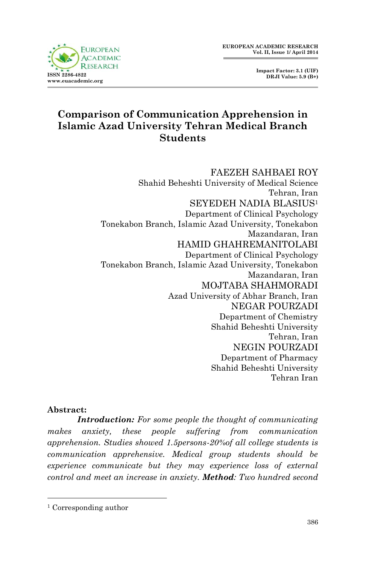**Impact Factor: 3.1 (UIF) DRJI Value: 5.9 (B+)**



# **Comparison of Communication Apprehension in Islamic Azad University Tehran Medical Branch Students**

FAEZEH SAHBAEI ROY Shahid Beheshti University of Medical Science Tehran, Iran SEYEDEH NADIA BLASIUS<sup>1</sup> Department of Clinical Psychology Tonekabon Branch, Islamic Azad University, Tonekabon Mazandaran, Iran HAMID GHAHREMANITOLABI Department of Clinical Psychology Tonekabon Branch, Islamic Azad University, Tonekabon Mazandaran, Iran MOJTABA SHAHMORADI Azad University of Abhar Branch, Iran NEGAR POURZADI Department of Chemistry Shahid Beheshti University Tehran, Iran NEGIN POURZADI Department of Pharmacy Shahid Beheshti University Tehran Iran

#### **Abstract:**

1

*Introduction: For some people the thought of communicating makes anxiety, these people suffering from communication apprehension. Studies showed 1.5persons-20%of all college students is communication apprehensive. Medical group students should be experience communicate but they may experience loss of external control and meet an increase in anxiety. Method: Two hundred second* 

<sup>1</sup> Corresponding author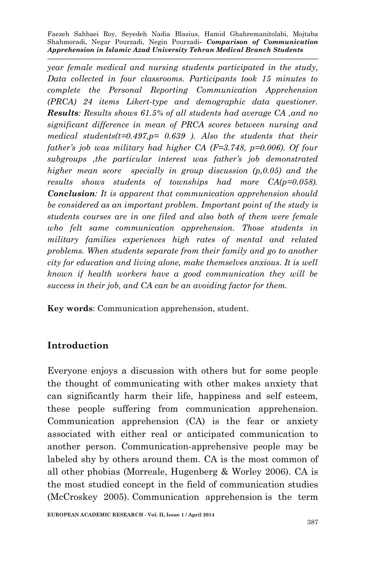*year female medical and nursing students participated in the study, Data collected in four classrooms. Participants took 15 minutes to complete the Personal Reporting Communication Apprehension (PRCA) 24 items Likert-type and demographic data questioner. Results: Results shows 61.5% of all students had average CA ,and no significant difference in mean of PRCA scores between nursing and medical students(t=0.497,p= 0.639 ). Also the students that their father's job was military had higher CA (F=3.748, p=0.006). Of four subgroups ,the particular interest was father's job demonstrated higher mean score specially in group discussion (p,0.05) and the results shows students of townships had more CA(p=0.058). Conclusion: It is apparent that communication apprehension should be considered as an important problem. Important point of the study is students courses are in one filed and also both of them were female who felt same communication apprehension. Those students in military families experiences high rates of mental and related problems. When students separate from their family and go to another city for education and living alone, make themselves anxious. It is well known if health workers have a good communication they will be success in their job, and CA can be an avoiding factor for them.*

**Key words**: Communication apprehension, student.

## **Introduction**

Everyone enjoys a discussion with others but for some people the thought of communicating with other makes anxiety that can significantly harm their life, happiness and self esteem, these people suffering from communication apprehension. Communication apprehension (CA) is the fear or anxiety associated with either real or anticipated communication to another person. Communication-apprehensive people may be labeled shy by others around them. CA is the most common of all other phobias (Morreale, Hugenberg & Worley 2006). CA is the most studied concept in the field of communication studies (McCroskey 2005). Communication apprehension is the term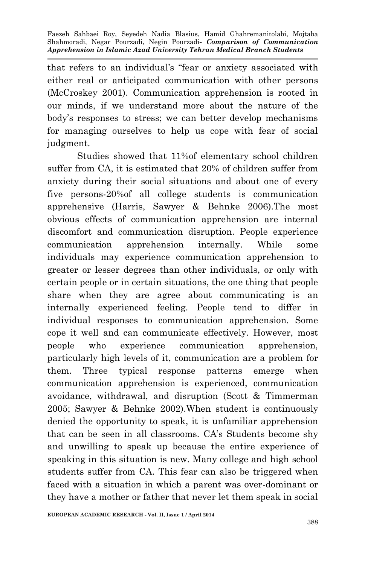that refers to an individual's "fear or anxiety associated with either real or anticipated communication with other persons (McCroskey 2001). Communication apprehension is rooted in our minds, if we understand more about the nature of the body's responses to stress; we can better develop mechanisms for managing ourselves to help us cope with fear of social judgment.

Studies showed that 11%of elementary school children suffer from CA, it is estimated that 20% of children suffer from anxiety during their social situations and about one of every five persons-20%of all college students is communication apprehensive (Harris, Sawyer & Behnke 2006).The most obvious effects of communication apprehension are internal discomfort and communication disruption. People experience communication apprehension internally. While some individuals may experience communication apprehension to greater or lesser degrees than other individuals, or only with certain people or in certain situations, the one thing that people share when they are agree about communicating is an internally experienced feeling. People tend to differ in individual responses to communication apprehension. Some cope it well and can communicate effectively. However, most people who experience communication apprehension, particularly high levels of it, communication are a problem for them. Three typical response patterns emerge when communication apprehension is experienced, communication avoidance, withdrawal, and disruption (Scott & Timmerman 2005; Sawyer & Behnke 2002).When student is continuously denied the opportunity to speak, it is unfamiliar apprehension that can be seen in all classrooms. CA's Students become shy and unwilling to speak up because the entire experience of speaking in this situation is new. Many college and high school students suffer from CA. This fear can also be triggered when faced with a situation in which a parent was over-dominant or they have a mother or father that never let them speak in social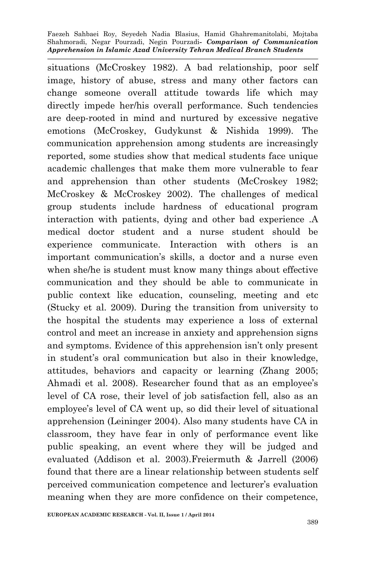situations (McCroskey 1982). A bad relationship, poor self image, history of abuse, stress and many other factors can change someone overall attitude towards life which may directly impede her/his overall performance. Such tendencies are deep-rooted in mind and nurtured by excessive negative emotions (McCroskey, Gudykunst & Nishida 1999). The communication apprehension among students are increasingly reported, some studies show that medical students face unique academic challenges that make them more vulnerable to fear and apprehension than other students (McCroskey 1982; McCroskey & McCroskey 2002). The challenges of medical group students include hardness of educational program interaction with patients, dying and other bad experience .A medical doctor student and a nurse student should be experience communicate. Interaction with others is an important communication's skills, a doctor and a nurse even when she/he is student must know many things about effective communication and they should be able to communicate in public context like education, counseling, meeting and etc (Stucky et al. 2009). During the transition from university to the hospital the students may experience a loss of external control and meet an increase in anxiety and apprehension signs and symptoms. Evidence of this apprehension isn't only present in student's oral communication but also in their knowledge, attitudes, behaviors and capacity or learning (Zhang 2005; Ahmadi et al. 2008). Researcher found that as an employee's level of CA rose, their level of job satisfaction fell, also as an employee's level of CA went up, so did their level of situational apprehension (Leininger 2004). Also many students have CA in classroom, they have fear in only of performance event like public speaking, an event where they will be judged and evaluated (Addison et al. 2003).Freiermuth & Jarrell (2006) found that there are a linear relationship between students self perceived communication competence and lecturer's evaluation meaning when they are more confidence on their competence,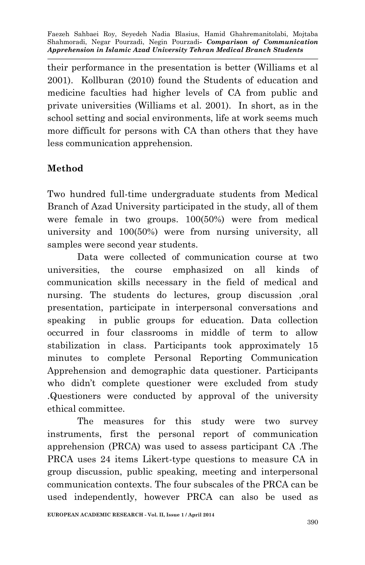their performance in the presentation is better (Williams et al 2001). Kollburan (2010) found the Students of education and medicine faculties had higher levels of CA from public and private universities (Williams et al. 2001). In short, as in the school setting and social environments, life at work seems much more difficult for persons with CA than others that they have less communication apprehension.

# **Method**

Two hundred full-time undergraduate students from Medical Branch of Azad University participated in the study, all of them were female in two groups. 100(50%) were from medical university and 100(50%) were from nursing university, all samples were second year students.

Data were collected of communication course at two universities, the course emphasized on all kinds of communication skills necessary in the field of medical and nursing. The students do lectures, group discussion ,oral presentation, participate in interpersonal conversations and speaking in public groups for education. Data collection occurred in four classrooms in middle of term to allow stabilization in class. Participants took approximately 15 minutes to complete Personal Reporting Communication Apprehension and demographic data questioner. Participants who didn't complete questioner were excluded from study .Questioners were conducted by approval of the university ethical committee.

The measures for this study were two survey instruments, first the personal report of communication apprehension (PRCA) was used to assess participant CA .The PRCA uses 24 items Likert-type questions to measure CA in group discussion, public speaking, meeting and interpersonal communication contexts. The four subscales of the PRCA can be used independently, however PRCA can also be used as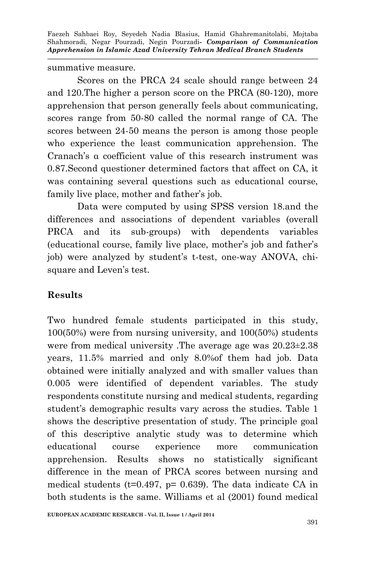summative measure.

Scores on the PRCA 24 scale should range between 24 and 120.The higher a person score on the PRCA (80-120), more apprehension that person generally feels about communicating, scores range from 50-80 called the normal range of CA. The scores between 24-50 means the person is among those people who experience the least communication apprehension. The Cranach's α coefficient value of this research instrument was 0.87.Second questioner determined factors that affect on CA, it was containing several questions such as educational course, family live place, mother and father's job.

Data were computed by using SPSS version 18.and the differences and associations of dependent variables (overall PRCA and its sub-groups) with dependents variables (educational course, family live place, mother's job and father's job) were analyzed by student's t-test, one-way ANOVA, chisquare and Leven's test.

## **Results**

Two hundred female students participated in this study, 100(50%) were from nursing university, and 100(50%) students were from medical university .The average age was 20.23±2.38 years, 11.5% married and only 8.0%of them had job. Data obtained were initially analyzed and with smaller values than 0.005 were identified of dependent variables. The study respondents constitute nursing and medical students, regarding student's demographic results vary across the studies. Table 1 shows the descriptive presentation of study. The principle goal of this descriptive analytic study was to determine which educational course experience more communication apprehension. Results shows no statistically significant difference in the mean of PRCA scores between nursing and medical students ( $t=0.497$ ,  $p= 0.639$ ). The data indicate CA in both students is the same. Williams et al (2001) found medical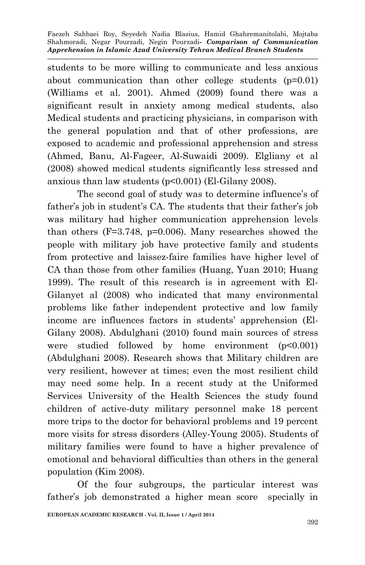students to be more willing to communicate and less anxious about communication than other college students (p=0.01) (Williams et al. 2001). Ahmed (2009) found there was a significant result in anxiety among medical students, also Medical students and practicing physicians, in comparison with the general population and that of other professions, are exposed to academic and professional apprehension and stress (Ahmed, Banu, Al-Fageer, Al-Suwaidi 2009). Elgliany et al (2008) showed medical students significantly less stressed and anxious than law students (p<0.001) (El-Gilany 2008).

The second goal of study was to determine influence's of father's job in student's CA. The students that their father's job was military had higher communication apprehension levels than others (F=3.748, p=0.006). Many researches showed the people with military job have protective family and students from protective and laissez-faire families have higher level of CA than those from other families (Huang, Yuan 2010; Huang 1999). The result of this research is in agreement with El-Gilanyet al (2008) who indicated that many environmental problems like father independent protective and low family income are influences factors in students' apprehension (El-Gilany 2008). Abdulghani (2010) found main sources of stress were studied followed by home environment (p<0.001) (Abdulghani 2008). Research shows that Military children are very resilient, however at times; even the most resilient child may need some help. In a recent study at the Uniformed Services University of the Health Sciences the study found children of active-duty military personnel make 18 percent more trips to the doctor for behavioral problems and 19 percent more visits for stress disorders (Alley-Young 2005). Students of military families were found to have a higher prevalence of emotional and behavioral difficulties than others in the general population (Kim 2008).

Of the four subgroups, the particular interest was father's job demonstrated a higher mean score specially in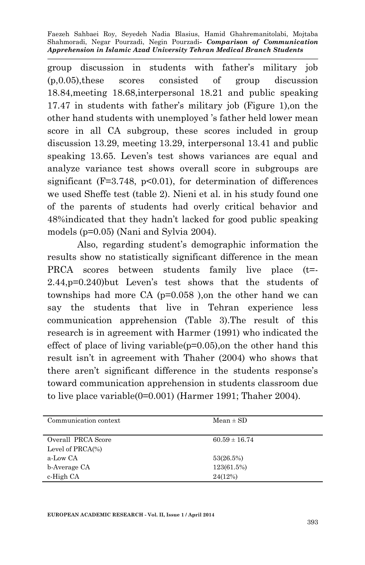group discussion in students with father's military job (p,0.05),these scores consisted of group discussion 18.84,meeting 18.68,interpersonal 18.21 and public speaking 17.47 in students with father's military job (Figure 1),on the other hand students with unemployed 's father held lower mean score in all CA subgroup, these scores included in group discussion 13.29, meeting 13.29, interpersonal 13.41 and public speaking 13.65. Leven's test shows variances are equal and analyze variance test shows overall score in subgroups are significant ( $F=3.748$ ,  $p<0.01$ ), for determination of differences we used Sheffe test (table 2). Nieni et al. in his study found one of the parents of students had overly critical behavior and 48%indicated that they hadn't lacked for good public speaking models (p=0.05) (Nani and Sylvia 2004).

Also, regarding student's demographic information the results show no statistically significant difference in the mean PRCA scores between students family live place (t=-2.44,p=0.240)but Leven's test shows that the students of townships had more CA (p=0.058 ),on the other hand we can say the students that live in Tehran experience less communication apprehension (Table 3).The result of this research is in agreement with Harmer (1991) who indicated the effect of place of living variable( $p=0.05$ ), on the other hand this result isn't in agreement with Thaher (2004) who shows that there aren't significant difference in the students response's toward communication apprehension in students classroom due to live place variable(0=0.001) (Harmer 1991; Thaher 2004).

| Communication context | $Mean \pm SD$     |
|-----------------------|-------------------|
|                       |                   |
| Overall PRCA Score    | $60.59 \pm 16.74$ |
| Level of $PRCA(\%)$   |                   |
| a-Low CA              | 53(26.5%)         |
| b-Average CA          | 123(61.5%)        |
| c-High CA             | 24(12%)           |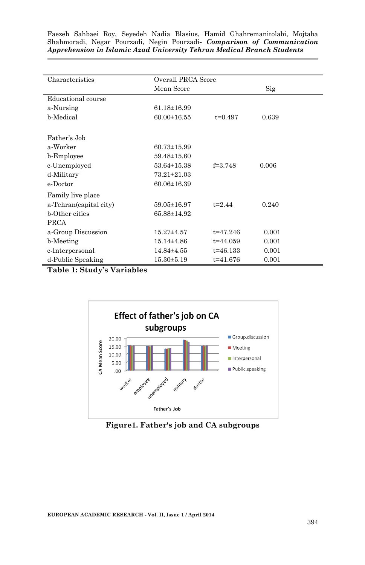| Characteristics        | Overall PRCA Score |              |       |  |
|------------------------|--------------------|--------------|-------|--|
|                        | Mean Score         |              | Sig   |  |
| Educational course     |                    |              |       |  |
| a-Nursing              | $61.18 \pm 16.99$  |              |       |  |
| b-Medical              | $60.00 \pm 16.55$  | $t=0.497$    | 0.639 |  |
|                        |                    |              |       |  |
| Father's Job           |                    |              |       |  |
| a-Worker               | $60.73 \pm 15.99$  |              |       |  |
| b-Employee             | $59.48 \pm 15.60$  |              |       |  |
| c-Unemployed           | $53.64 \pm 15.38$  | $f = 3748$   | 0.006 |  |
| d-Military             | 73.21±21.03        |              |       |  |
| e-Doctor               | $60.06 \pm 16.39$  |              |       |  |
| Family live place      |                    |              |       |  |
| a-Tehran(capital city) | $59.05 \pm 16.97$  | $t=2.44$     | 0.240 |  |
| <b>b</b> -Other cities | 65.88±14.92        |              |       |  |
| <b>PRCA</b>            |                    |              |       |  |
| a-Group Discussion     | $15.27 \pm 4.57$   | $t = 47.246$ | 0.001 |  |
| b-Meeting              | $15.14 \pm 4.86$   | $t = 44.059$ | 0.001 |  |
| c-Interpersonal        | $14.84\pm4.55$     | $t = 46.133$ | 0.001 |  |
| d-Public Speaking      | $15.30 \pm 5.19$   | $t = 41.676$ | 0.001 |  |

**Table 1: Study's Variables**



**Figure1. Father's job and CA subgroups**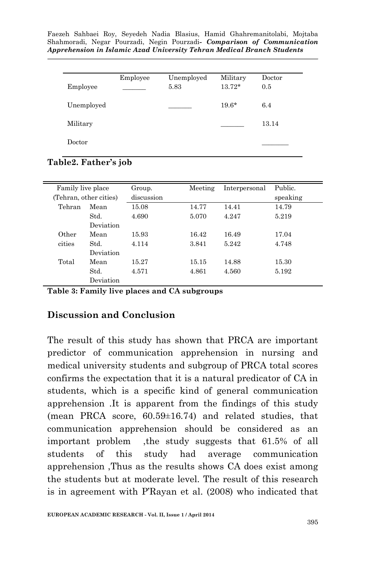|            | Employee | Unemployed | Military | Doctor |
|------------|----------|------------|----------|--------|
| Employee   |          | 5.83       | $13.72*$ | 0.5    |
| Unemployed |          |            | $19.6*$  | 6.4    |
| Military   |          |            |          | 13.14  |
| Doctor     |          |            |          |        |

**Table2. Father's job**

| Family live place<br>(Tehran, other cities) |           | Group.<br>discussion | Meeting | Interpersonal | Public.<br>speaking |
|---------------------------------------------|-----------|----------------------|---------|---------------|---------------------|
| Tehran                                      | Mean      | 15.08                | 14.77   | 14.41         | 14.79               |
|                                             | Std.      | 4.690                | 5.070   | 4.247         | 5.219               |
|                                             | Deviation |                      |         |               |                     |
| Other                                       | Mean      | 15.93                | 16.42   | 16.49         | 17.04               |
| cities                                      | Std.      | 4.114                | 3.841   | 5.242         | 4.748               |
|                                             | Deviation |                      |         |               |                     |
| Total                                       | Mean      | 15.27                | 15.15   | 14.88         | 15.30               |
|                                             | Std.      | 4.571                | 4.861   | 4.560         | 5.192               |
|                                             | Deviation |                      |         |               |                     |

**Table 3: Family live places and CA subgroups**

#### **Discussion and Conclusion**

The result of this study has shown that PRCA are important predictor of communication apprehension in nursing and medical university students and subgroup of PRCA total scores confirms the expectation that it is a natural predicator of CA in students, which is a specific kind of general communication apprehension .It is apparent from the findings of this study (mean PRCA score, 60.59±16.74) and related studies, that communication apprehension should be considered as an important problem ,the study suggests that 61.5% of all students of this study had average communication apprehension ,Thus as the results shows CA does exist among the students but at moderate level. The result of this research is in agreement with P'Rayan et al. (2008) who indicated that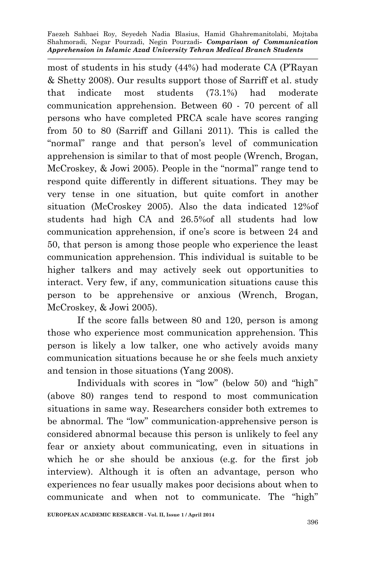most of students in his study (44%) had moderate CA (P'Rayan & Shetty 2008). Our results support those of Sarriff et al. study that indicate most students (73.1%) had moderate communication apprehension. Between 60 - 70 percent of all persons who have completed PRCA scale have scores ranging from 50 to 80 (Sarriff and Gillani 2011). This is called the "normal" range and that person's level of communication apprehension is similar to that of most people (Wrench, Brogan, McCroskey, & Jowi 2005). People in the "normal" range tend to respond quite differently in different situations. They may be very tense in one situation, but quite comfort in another situation (McCroskey 2005). Also the data indicated 12%of students had high CA and 26.5%of all students had low communication apprehension, if one's score is between 24 and 50, that person is among those people who experience the least communication apprehension. This individual is suitable to be higher talkers and may actively seek out opportunities to interact. Very few, if any, communication situations cause this person to be apprehensive or anxious (Wrench, Brogan, McCroskey, & Jowi 2005).

If the score falls between 80 and 120, person is among those who experience most communication apprehension. This person is likely a low talker, one who actively avoids many communication situations because he or she feels much anxiety and tension in those situations (Yang 2008).

Individuals with scores in "low" (below 50) and "high" (above 80) ranges tend to respond to most communication situations in same way. Researchers consider both extremes to be abnormal. The "low" communication-apprehensive person is considered abnormal because this person is unlikely to feel any fear or anxiety about communicating, even in situations in which he or she should be anxious (e.g. for the first job interview). Although it is often an advantage, person who experiences no fear usually makes poor decisions about when to communicate and when not to communicate. The "high"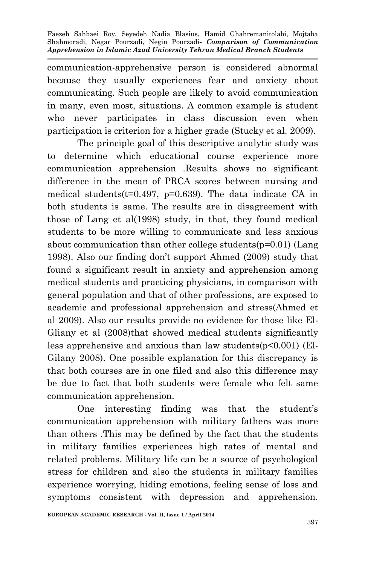communication-apprehensive person is considered abnormal because they usually experiences fear and anxiety about communicating. Such people are likely to avoid communication in many, even most, situations. A common example is student who never participates in class discussion even when participation is criterion for a higher grade (Stucky et al. 2009).

The principle goal of this descriptive analytic study was to determine which educational course experience more communication apprehension .Results shows no significant difference in the mean of PRCA scores between nursing and medical students( $t=0.497$ ,  $p=0.639$ ). The data indicate CA in both students is same. The results are in disagreement with those of Lang et al(1998) study, in that, they found medical students to be more willing to communicate and less anxious about communication than other college students(p=0.01) (Lang 1998). Also our finding don't support Ahmed (2009) study that found a significant result in anxiety and apprehension among medical students and practicing physicians, in comparison with general population and that of other professions, are exposed to academic and professional apprehension and stress(Ahmed et al 2009). Also our results provide no evidence for those like El-Gliany et al (2008)that showed medical students significantly less apprehensive and anxious than law students(p<0.001) (El-Gilany 2008). One possible explanation for this discrepancy is that both courses are in one filed and also this difference may be due to fact that both students were female who felt same communication apprehension.

One interesting finding was that the student's communication apprehension with military fathers was more than others .This may be defined by the fact that the students in military families experiences high rates of mental and related problems. Military life can be a source of psychological stress for children and also the students in military families experience worrying, hiding emotions, feeling sense of loss and symptoms consistent with depression and apprehension.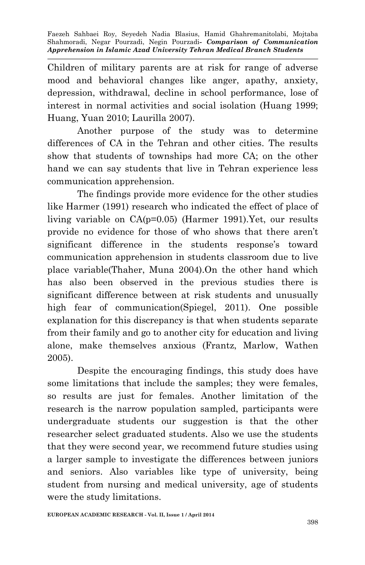Children of military parents are at risk for range of adverse mood and behavioral changes like anger, apathy, anxiety, depression, withdrawal, decline in school performance, lose of interest in normal activities and social isolation (Huang 1999; Huang, Yuan 2010; Laurilla 2007).

Another purpose of the study was to determine differences of CA in the Tehran and other cities. The results show that students of townships had more CA; on the other hand we can say students that live in Tehran experience less communication apprehension.

The findings provide more evidence for the other studies like Harmer (1991) research who indicated the effect of place of living variable on CA(p=0.05) (Harmer 1991).Yet, our results provide no evidence for those of who shows that there aren't significant difference in the students response's toward communication apprehension in students classroom due to live place variable(Thaher, Muna 2004).On the other hand which has also been observed in the previous studies there is significant difference between at risk students and unusually high fear of communication(Spiegel, 2011). One possible explanation for this discrepancy is that when students separate from their family and go to another city for education and living alone, make themselves anxious (Frantz, Marlow, Wathen 2005).

Despite the encouraging findings, this study does have some limitations that include the samples; they were females, so results are just for females. Another limitation of the research is the narrow population sampled, participants were undergraduate students our suggestion is that the other researcher select graduated students. Also we use the students that they were second year, we recommend future studies using a larger sample to investigate the differences between juniors and seniors. Also variables like type of university, being student from nursing and medical university, age of students were the study limitations.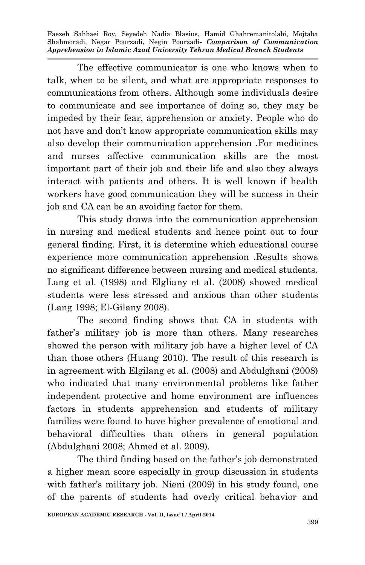The effective communicator is one who knows when to talk, when to be silent, and what are appropriate responses to communications from others. Although some individuals desire to communicate and see importance of doing so, they may be impeded by their fear, apprehension or anxiety. People who do not have and don't know appropriate communication skills may also develop their communication apprehension .For medicines and nurses affective communication skills are the most important part of their job and their life and also they always interact with patients and others. It is well known if health workers have good communication they will be success in their job and CA can be an avoiding factor for them.

This study draws into the communication apprehension in nursing and medical students and hence point out to four general finding. First, it is determine which educational course experience more communication apprehension .Results shows no significant difference between nursing and medical students. Lang et al. (1998) and Elgliany et al. (2008) showed medical students were less stressed and anxious than other students (Lang 1998; El-Gilany 2008).

The second finding shows that CA in students with father's military job is more than others. Many researches showed the person with military job have a higher level of CA than those others (Huang 2010). The result of this research is in agreement with Elgilang et al. (2008) and Abdulghani (2008) who indicated that many environmental problems like father independent protective and home environment are influences factors in students apprehension and students of military families were found to have higher prevalence of emotional and behavioral difficulties than others in general population (Abdulghani 2008; Ahmed et al. 2009).

The third finding based on the father's job demonstrated a higher mean score especially in group discussion in students with father's military job. Nieni (2009) in his study found, one of the parents of students had overly critical behavior and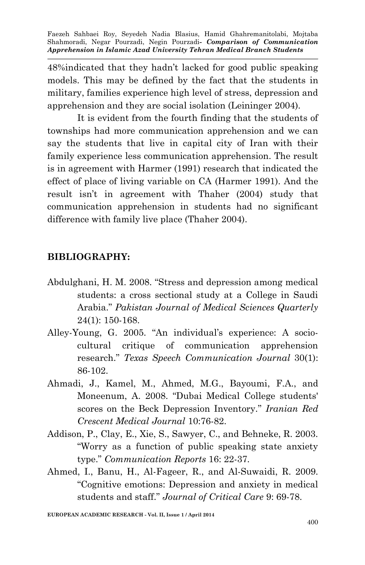48%indicated that they hadn't lacked for good public speaking models. This may be defined by the fact that the students in military, families experience high level of stress, depression and apprehension and they are social isolation (Leininger 2004).

It is evident from the fourth finding that the students of townships had more communication apprehension and we can say the students that live in capital city of Iran with their family experience less communication apprehension. The result is in agreement with Harmer (1991) research that indicated the effect of place of living variable on CA (Harmer 1991). And the result isn't in agreement with Thaher (2004) study that communication apprehension in students had no significant difference with family live place (Thaher 2004).

### **BIBLIOGRAPHY:**

- Abdulghani, H. M. 2008. "Stress and depression among medical students: a cross sectional study at a College in Saudi Arabia." *Pakistan Journal of Medical Sciences Quarterly* 24(1): 150-168.
- Alley-Young, G. 2005. "An individual's experience: A sociocultural critique of communication apprehension research." *Texas Speech Communication Journal* 30(1): 86-102.
- Ahmadi, J., Kamel, M., Ahmed, M.G., Bayoumi, F.A., and Moneenum, A. 2008. "Dubai Medical College students' scores on the Beck Depression Inventory." *Iranian Red Crescent Medical Journal* 10:76-82.
- Addison, P., Clay, E., Xie, S., Sawyer, C., and Behneke, R. 2003. "Worry as a function of public speaking state anxiety type." *Communication Reports* 16: 22-37.
- Ahmed, I., Banu, H., Al-Fageer, R., and Al-Suwaidi, R. 2009. "Cognitive emotions: Depression and anxiety in medical students and staff." *Journal of Critical Care* 9: 69-78.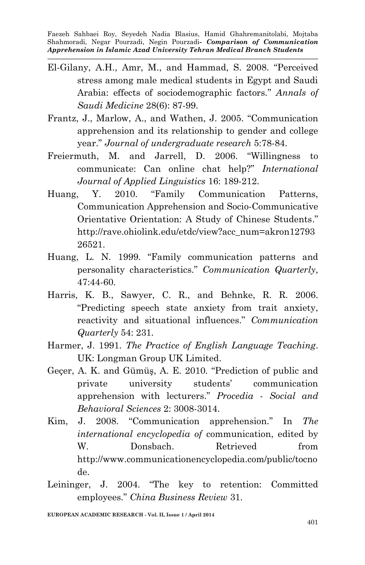- El-Gilany, A.H., Amr, M., and Hammad, S. 2008. "Perceived stress among male medical students in Egypt and Saudi Arabia: effects of sociodemographic factors." *Annals of Saudi Medicine* 28(6): 87-99.
- Frantz, J., Marlow, A., and Wathen, J. 2005. "Communication apprehension and its relationship to gender and college year." *Journal of undergraduate research* 5:78-84.
- Freiermuth, M. and Jarrell, D. 2006. "Willingness to communicate: Can online chat help?" *International Journal of Applied Linguistics* 16: 189-212.
- Huang, Y. 2010. "Family Communication Patterns, Communication Apprehension and Socio-Communicative Orientative Orientation: A Study of Chinese Students." http://rave.ohiolink.edu/etdc/view?acc\_num=akron12793 26521.
- Huang, L. N. 1999. "Family communication patterns and personality characteristics." *Communication Quarterly*, 47:44-60.
- Harris, K. B., Sawyer, C. R., and Behnke, R. R. 2006. "Predicting speech state anxiety from trait anxiety, reactivity and situational influences." *Communication Quarterly* 54: 231.
- Harmer, J. 1991. *The Practice of English Language Teaching*. UK: Longman Group UK Limited.
- Geçer, A. K. and Gümüş, A. E. 2010. "Prediction of public and private university students' communication apprehension with lecturers." *Procedia - Social and Behavioral Sciences* 2: 3008-3014.
- Kim, J. 2008. "Communication apprehension." In *The international encyclopedia of* communication, edited by W. Donsbach. Retrieved from http://www.communicationencyclopedia.com/public/tocno de.
- Leininger, J. 2004. "The key to retention: Committed employees." *China Business Review* 31.

**EUROPEAN ACADEMIC RESEARCH - Vol. II, Issue 1 / April 2014**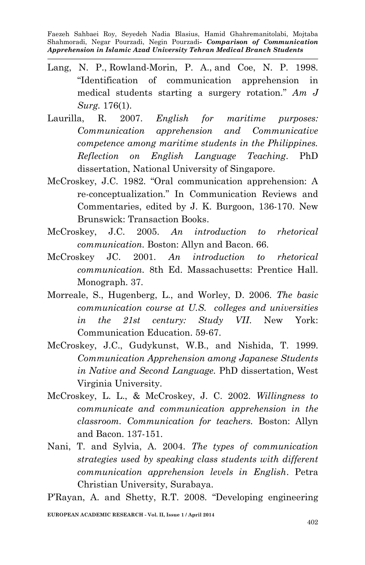- Lang, N. P., Rowland-Morin, P. A., and Coe, N. P. 1998. "Identification of communication apprehension in medical students starting a surgery rotation." *Am J Surg.* 176(1).
- Laurilla, R. 2007. *English for maritime purposes: Communication apprehension and Communicative competence among maritime students in the Philippines. Reflection on English Language Teaching*. PhD dissertation, National University of Singapore.
- McCroskey, J.C. 1982. "Oral communication apprehension: A re-conceptualization." In Communication Reviews and Commentaries, edited by J. K. Burgoon, 136-170. New Brunswick: Transaction Books.
- McCroskey, J.C. 2005. *An introduction to rhetorical communication.* Boston: Allyn and Bacon. 66.
- McCroskey JC. 2001. *An introduction to rhetorical communication.* 8th Ed. Massachusetts: Prentice Hall. Monograph. 37.
- Morreale, S., Hugenberg, L., and Worley, D. 2006. *The basic communication course at U.S. colleges and universities in the 21st century: Study VII*. New York: Communication Education. 59-67.
- McCroskey, J.C., Gudykunst, W.B., and Nishida, T. 1999. *Communication Apprehension among Japanese Students in Native and Second Language.* PhD dissertation, West Virginia University.
- McCroskey, L. L., & McCroskey, J. C. 2002. *Willingness to communicate and communication apprehension in the classroom. Communication for teachers.* Boston: Allyn and Bacon. 137-151.
- Nani, T. and Sylvia, A. 2004. *The types of communication strategies used by speaking class students with different communication apprehension levels in English*. Petra Christian University, Surabaya.

P'Rayan, A. and Shetty, R.T. 2008. "Developing engineering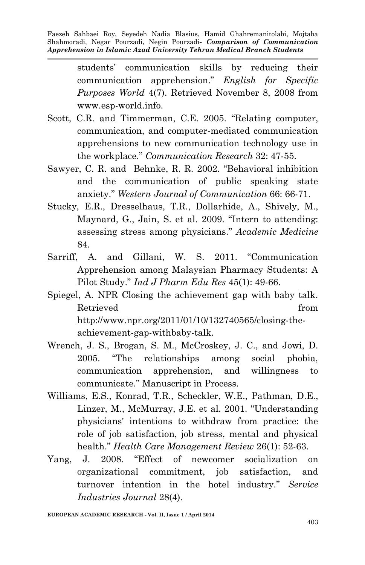> students' communication skills by reducing their communication apprehension." *English for Specific Purposes World* 4(7). Retrieved November 8, 2008 from www.esp-world.info.

- Scott, C.R. and Timmerman, C.E. 2005. "Relating computer, communication, and computer-mediated communication apprehensions to new communication technology use in the workplace." *Communication Research* 32: 47-55.
- Sawyer, C. R. and Behnke, R. R. 2002. "Behavioral inhibition and the communication of public speaking state anxiety." *Western Journal of Communication* 66: 66-71.
- Stucky, E.R., Dresselhaus, T.R., Dollarhide, A., Shively, M., Maynard, G., Jain, S. et al. 2009. "Intern to attending: assessing stress among physicians." *Academic Medicine* 84.
- Sarriff, A. and Gillani, W. S. 2011. "Communication Apprehension among Malaysian Pharmacy Students: A Pilot Study." *Ind J Pharm Edu Res* 45(1): 49-66.
- Spiegel, A. NPR Closing the achievement gap with baby talk. Retrieved from the set of  $\mathbb{R}^n$  from the set of  $\mathbb{R}^n$  from the set of  $\mathbb{R}^n$  from the set of  $\mathbb{R}^n$  from the set of  $\mathbb{R}^n$  from the set of  $\mathbb{R}^n$  from the set of  $\mathbb{R}^n$  from the set of  $\mathbb{R}$ http://www.npr.org/2011/01/10/132740565/closing-theachievement-gap-withbaby-talk.
- Wrench, J. S., Brogan, S. M., McCroskey, J. C., and Jowi, D. 2005. "The relationships among social phobia, communication apprehension, and willingness to communicate." Manuscript in Process.
- Williams, E.S., Konrad, T.R., Scheckler, W.E., Pathman, D.E., Linzer, M., McMurray, J.E. et al. 2001. "Understanding physicians' intentions to withdraw from practice: the role of job satisfaction, job stress, mental and physical health." *Health Care Management Review* 26(1): 52-63.
- Yang, J. 2008. "Effect of newcomer socialization on organizational commitment, job satisfaction, and turnover intention in the hotel industry." *Service Industries Journal* 28(4).